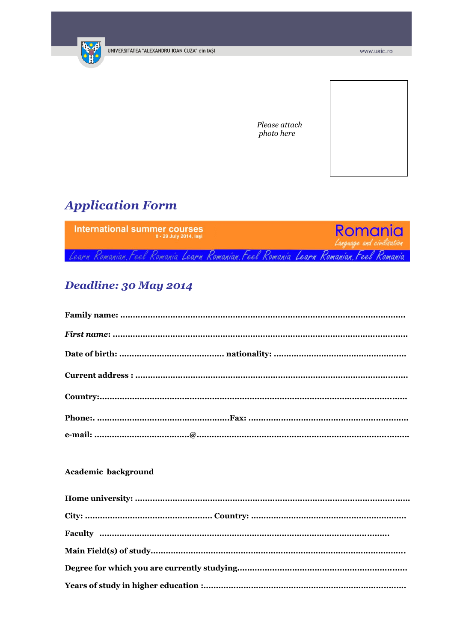

Please attach photo here

# **Application Form**



# Deadline: 30 May 2014

### Academic background